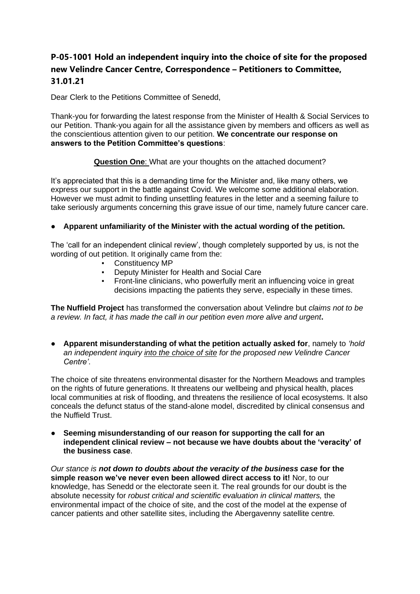# **P-05-1001 Hold an independent inquiry into the choice of site for the proposed new Velindre Cancer Centre, Correspondence – Petitioners to Committee, 31.01.21**

Dear Clerk to the Petitions Committee of Senedd,

Thank-you for forwarding the latest response from the Minister of Health & Social Services to our Petition. Thank-you again for all the assistance given by members and officers as well as the conscientious attention given to our petition. **We concentrate our response on answers to the Petition Committee's questions**:

**Question One**: What are your thoughts on the attached document?

It's appreciated that this is a demanding time for the Minister and, like many others, we express our support in the battle against Covid. We welcome some additional elaboration. However we must admit to finding unsettling features in the letter and a seeming failure to take seriously arguments concerning this grave issue of our time, namely future cancer care.

### ● **Apparent unfamiliarity of the Minister with the actual wording of the petition.**

The 'call for an independent clinical review', though completely supported by us, is not the wording of out petition. It originally came from the:

- Constituency MP
- Deputy Minister for Health and Social Care
- **Front-line clinicians, who powerfully merit an influencing voice in great** decisions impacting the patients they serve, especially in these times.

**The Nuffield Project** has transformed the conversation about Velindre but *claims not to be a review. In fact, it has made the call in our petition even more alive and urgent***.**

● **Apparent misunderstanding of what the petition actually asked for**, namely to *'hold an independent inquiry into the choice of site for the proposed new Velindre Cancer Centre'*.

The choice of site threatens environmental disaster for the Northern Meadows and tramples on the rights of future generations. It threatens our wellbeing and physical health, places local communities at risk of flooding, and threatens the resilience of local ecosystems. It also conceals the defunct status of the stand-alone model, discredited by clinical consensus and the Nuffield Trust.

● **Seeming misunderstanding of our reason for supporting the call for an independent clinical review – not because we have doubts about the 'veracity' of the business case**.

*Our stance is not down to doubts about the veracity of the business case* **for the simple reason we've never even been allowed direct access to it!** Nor, to our knowledge, has Senedd or the electorate seen it. The real grounds for our doubt is the absolute necessity for *robust critical and scientific evaluation in clinical matters,* the environmental impact of the choice of site, and the cost of the model at the expense of cancer patients and other satellite sites, including the Abergavenny satellite centre*.*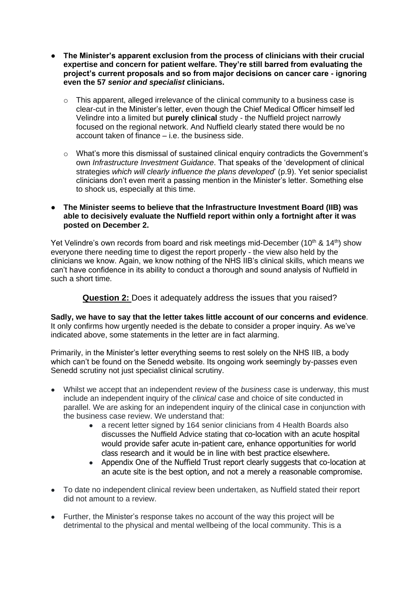- **The Minister's apparent exclusion from the process of clinicians with their crucial expertise and concern for patient welfare. They're still barred from evaluating the project's current proposals and so from major decisions on cancer care - ignoring even the 57** *senior and specialist* **clinicians.**
	- o This apparent, alleged irrelevance of the clinical community to a business case is clear-cut in the Minister's letter, even though the Chief Medical Officer himself led Velindre into a limited but **purely clinical** study - the Nuffield project narrowly focused on the regional network. And Nuffield clearly stated there would be no account taken of finance – i.e. the business side.
	- o What's more this dismissal of sustained clinical enquiry contradicts the Government's own *Infrastructure Investment Guidance*. That speaks of the 'development of clinical strategies *which will clearly influence the plans developed*' (p.9). Yet senior specialist clinicians don't even merit a passing mention in the Minister's letter. Something else to shock us, especially at this time.
- **The Minister seems to believe that the Infrastructure Investment Board (IIB) was able to decisively evaluate the Nuffield report within only a fortnight after it was posted on December 2.**

Yet Velindre's own records from board and risk meetings mid-December (10<sup>th</sup> & 14<sup>th</sup>) show everyone there needing time to digest the report properly - the view also held by the clinicians we know. Again, we know nothing of the NHS IIB's clinical skills, which means we can't have confidence in its ability to conduct a thorough and sound analysis of Nuffield in such a short time.

**Question 2:** Does it adequately address the issues that you raised?

**Sadly, we have to say that the letter takes little account of our concerns and evidence**. It only confirms how urgently needed is the debate to consider a proper inquiry. As we've indicated above, some statements in the letter are in fact alarming.

Primarily, in the Minister's letter everything seems to rest solely on the NHS IIB, a body which can't be found on the Senedd website. Its ongoing work seemingly by-passes even Senedd scrutiny not just specialist clinical scrutiny.

- Whilst we accept that an independent review of the *business* case is underway, this must include an independent inquiry of the *clinical* case and choice of site conducted in parallel. We are asking for an independent inquiry of the clinical case in conjunction with the business case review. We understand that:
	- a recent letter signed by 164 senior clinicians from 4 Health Boards also discusses the Nuffield Advice stating that co-location with an acute hospital would provide safer acute in-patient care, enhance opportunities for world class research and it would be in line with best practice elsewhere.
	- Appendix One of the Nuffield Trust report clearly suggests that co-location at an acute site is the best option, and not a merely a reasonable compromise.
- To date no independent clinical review been undertaken, as Nuffield stated their report did not amount to a review.
- Further, the Minister's response takes no account of the way this project will be detrimental to the physical and mental wellbeing of the local community. This is a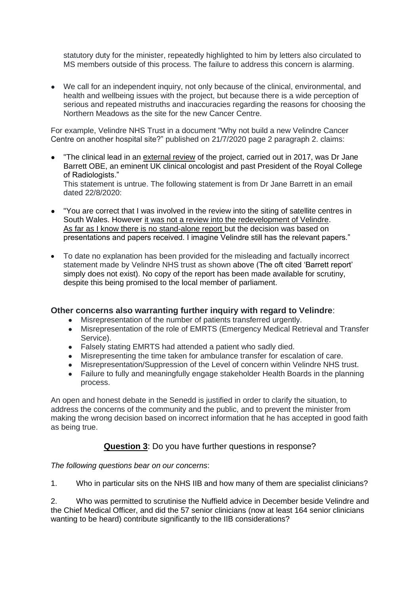statutory duty for the minister, repeatedly highlighted to him by letters also circulated to MS members outside of this process. The failure to address this concern is alarming.

● We call for an independent inquiry, not only because of the clinical, environmental, and health and wellbeing issues with the project, but because there is a wide perception of serious and repeated mistruths and inaccuracies regarding the reasons for choosing the Northern Meadows as the site for the new Cancer Centre.

For example, Velindre NHS Trust in a document "Why not build a new Velindre Cancer Centre on another hospital site?" published on 21/7/2020 page 2 paragraph 2. claims:

- "The clinical lead in an external review of the project, carried out in 2017, was Dr Jane Barrett OBE, an eminent UK clinical oncologist and past President of the Royal College of Radiologists." This statement is untrue. The following statement is from Dr Jane Barrett in an email dated 22/8/2020:
- "You are correct that I was involved in the review into the siting of satellite centres in South Wales. However it was not a review into the redevelopment of Velindre. As far as I know there is no stand-alone report but the decision was based on presentations and papers received. I imagine Velindre still has the relevant papers."
- To date no explanation has been provided for the misleading and factually incorrect statement made by Velindre NHS trust as shown above (The oft cited 'Barrett report' simply does not exist). No copy of the report has been made available for scrutiny, despite this being promised to the local member of parliament.

### **Other concerns also warranting further inquiry with regard to Velindre**:

- Misrepresentation of the number of patients transferred urgently.
- Misrepresentation of the role of EMRTS (Emergency Medical Retrieval and Transfer Service).
- Falsely stating EMRTS had attended a patient who sadly died.
- Misrepresenting the time taken for ambulance transfer for escalation of care.
- Misrepresentation/Suppression of the Level of concern within Velindre NHS trust.
- Failure to fully and meaningfully engage stakeholder Health Boards in the planning process.

An open and honest debate in the Senedd is justified in order to clarify the situation, to address the concerns of the community and the public, and to prevent the minister from making the wrong decision based on incorrect information that he has accepted in good faith as being true.

### **Question 3**: Do you have further questions in response?

*The following questions bear on our concerns*:

1. Who in particular sits on the NHS IIB and how many of them are specialist clinicians?

2. Who was permitted to scrutinise the Nuffield advice in December beside Velindre and the Chief Medical Officer, and did the 57 senior clinicians (now at least 164 senior clinicians wanting to be heard) contribute significantly to the IIB considerations?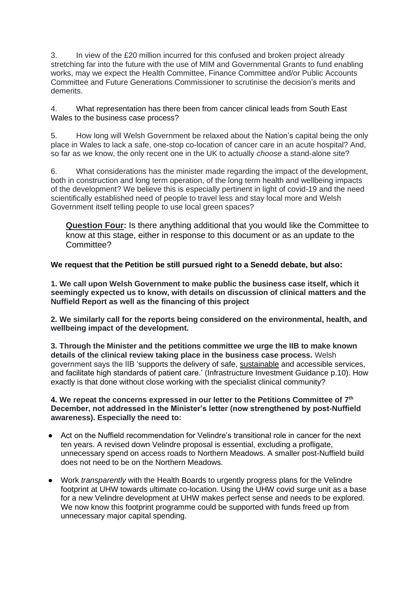3. In view of the £20 million incurred for this confused and broken project already stretching far into the future with the use of MIM and Governmental Grants to fund enabling works, may we expect the Health Committee, Finance Committee and/or Public Accounts Committee and Future Generations Commissioner to scrutinise the decision's merits and demerits.

4. What representation has there been from cancer clinical leads from South East Wales to the business case process?

5. How long will Welsh Government be relaxed about the Nation's capital being the only place in Wales to lack a safe, one-stop co-location of cancer care in an acute hospital? And, so far as we know, the only recent one in the UK to actually *choose* a stand-alone site?

6. What considerations has the minister made regarding the impact of the development, both in construction and long term operation, of the long term health and wellbeing impacts of the development? We believe this is especially pertinent in light of covid-19 and the need scientifically established need of people to travel less and stay local more and Welsh Government itself telling people to use local green spaces?

**Question Four:** Is there anything additional that you would like the Committee to know at this stage, either in response to this document or as an update to the Committee?

**We request that the Petition be still pursued right to a Senedd debate, but also:**

**1. We call upon Welsh Government to make public the business case itself, which it seemingly expected us to know, with details on discussion of clinical matters and the Nuffield Report as well as the financing of this project**

**2. We similarly call for the reports being considered on the environmental, health, and wellbeing impact of the development.**

**3. Through the Minister and the petitions committee we urge the IIB to make known details of the clinical review taking place in the business case process.** Welsh government says the IIB 'supports the delivery of safe, sustainable and accessible services, and facilitate high standards of patient care.' (Infrastructure Investment Guidance p.10). How exactly is that done without close working with the specialist clinical community?

#### **4. We repeat the concerns expressed in our letter to the Petitions Committee of 7 th December, not addressed in the Minister's letter (now strengthened by post-Nuffield awareness). Especially the need to:**

- Act on the Nuffield recommendation for Velindre's transitional role in cancer for the next ten years. A revised down Velindre proposal is essential, excluding a profligate, unnecessary spend on access roads to Northern Meadows. A smaller post-Nuffield build does not need to be on the Northern Meadows.
- Work *transparently* with the Health Boards to urgently progress plans for the Velindre footprint at UHW towards ultimate co-location. Using the UHW covid surge unit as a base for a new Velindre development at UHW makes perfect sense and needs to be explored. We now know this footprint programme could be supported with funds freed up from unnecessary major capital spending.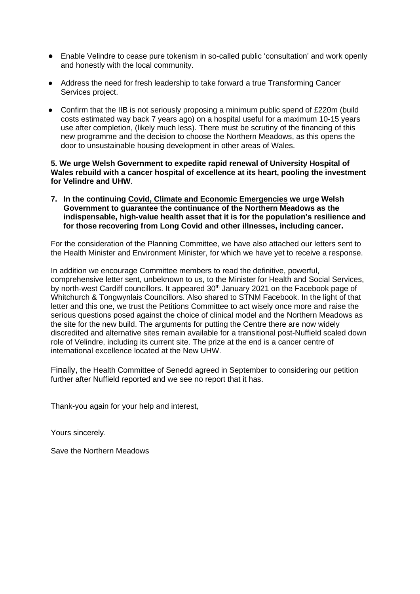- Enable Velindre to cease pure tokenism in so-called public 'consultation' and work openly and honestly with the local community.
- Address the need for fresh leadership to take forward a true Transforming Cancer Services project.
- Confirm that the IIB is not seriously proposing a minimum public spend of £220m (build costs estimated way back 7 years ago) on a hospital useful for a maximum 10-15 years use after completion, (likely much less). There must be scrutiny of the financing of this new programme and the decision to choose the Northern Meadows, as this opens the door to unsustainable housing development in other areas of Wales.

#### **5. We urge Welsh Government to expedite rapid renewal of University Hospital of Wales rebuild with a cancer hospital of excellence at its heart, pooling the investment for Velindre and UHW**.

**7. In the continuing Covid, Climate and Economic Emergencies we urge Welsh Government to guarantee the continuance of the Northern Meadows as the indispensable, high-value health asset that it is for the population's resilience and for those recovering from Long Covid and other illnesses, including cancer.**

For the consideration of the Planning Committee, we have also attached our letters sent to the Health Minister and Environment Minister, for which we have yet to receive a response.

In addition we encourage Committee members to read the definitive, powerful, comprehensive letter sent, unbeknown to us, to the Minister for Health and Social Services, by north-west Cardiff councillors. It appeared 30<sup>th</sup> January 2021 on the Facebook page of Whitchurch & Tongwynlais Councillors. Also shared to STNM Facebook. In the light of that letter and this one, we trust the Petitions Committee to act wisely once more and raise the serious questions posed against the choice of clinical model and the Northern Meadows as the site for the new build. The arguments for putting the Centre there are now widely discredited and alternative sites remain available for a transitional post-Nuffield scaled down role of Velindre, including its current site. The prize at the end is a cancer centre of international excellence located at the New UHW.

Finally, the Health Committee of Senedd agreed in September to considering our petition further after Nuffield reported and we see no report that it has.

Thank-you again for your help and interest,

Yours sincerely.

Save the Northern Meadows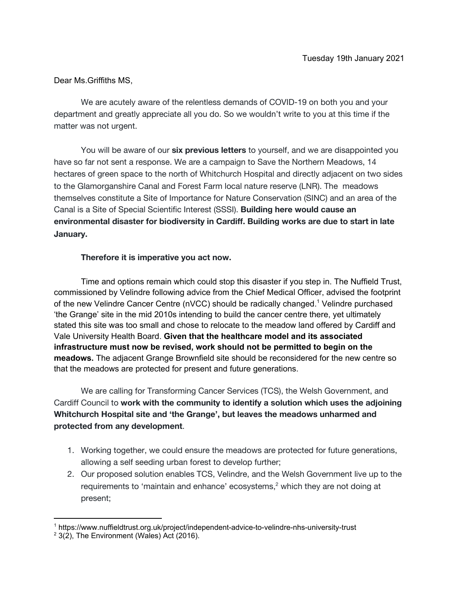Dear Ms.Griffiths MS,

We are acutely aware of the relentless demands of COVID-19 on both you and your department and greatly appreciate all you do. So we wouldn't write to you at this time if the matter was not urgent.

You will be aware of our **six previous letters** to yourself, and we are disappointed you have so far not sent a response. We are a campaign to Save the Northern Meadows, 14 hectares of green space to the north of Whitchurch Hospital and directly adjacent on two sides to the Glamorganshire Canal and Forest Farm local nature reserve (LNR). The meadows themselves constitute a Site of Importance for Nature Conservation (SINC) and an area of the Canal is a Site of Special Scientific Interest (SSSI). **Building here would cause an environmental disaster for biodiversity in Cardiff. Building works are due to start in late January.**

### **Therefore it is imperative you act now.**

Time and options remain which could stop this disaster if you step in. The Nuffield Trust, commissioned by Velindre following advice from the Chief Medical Officer, advised the footprint of the new Velindre Cancer Centre (nVCC) should be radically changed. <sup>1</sup> Velindre purchased 'the Grange' site in the mid 2010s intending to build the cancer centre there, yet ultimately stated this site was too small and chose to relocate to the meadow land offered by Cardiff and Vale University Health Board. **Given that the healthcare model and its associated infrastructure must now be revised, work should not be permitted to begin on the meadows.** The adjacent Grange Brownfield site should be reconsidered for the new centre so that the meadows are protected for present and future generations.

We are calling for Transforming Cancer Services (TCS), the Welsh Government, and Cardiff Council to **work with the community to identify a solution which uses the adjoining Whitchurch Hospital site and 'the Grange', but leaves the meadows unharmed and protected from any development**.

- 1. Working together, we could ensure the meadows are protected for future generations, allowing a self seeding urban forest to develop further;
- 2. Our proposed solution enables TCS, Velindre, and the Welsh Government live up to the requirements to 'maintain and enhance' ecosystems,<sup>2</sup> which they are not doing at present;

<sup>1</sup> https://www.nuffieldtrust.org.uk/project/independent-advice-to-velindre-nhs-university-trust

 $2$  3(2), The Environment (Wales) Act (2016).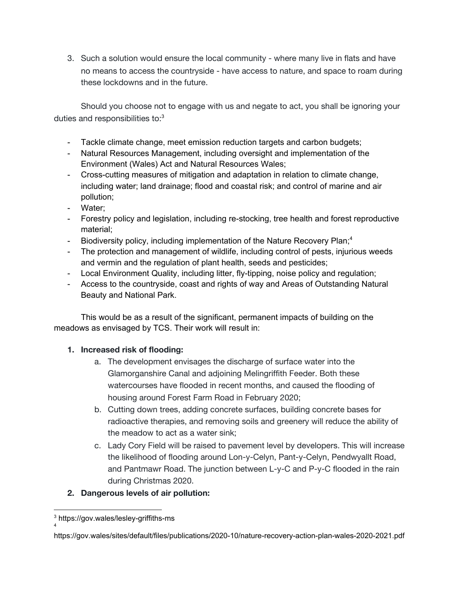3. Such a solution would ensure the local community - where many live in flats and have no means to access the countryside - have access to nature, and space to roam during these lockdowns and in the future.

Should you choose not to engage with us and negate to act, you shall be ignoring your duties and responsibilities to:<sup>3</sup>

- Tackle climate change, meet emission reduction targets and carbon budgets;
- Natural Resources Management, including oversight and implementation of the Environment (Wales) Act and Natural Resources Wales;
- Cross-cutting measures of mitigation and adaptation in relation to climate change, including water; land drainage; flood and coastal risk; and control of marine and air pollution;
- Water;
- Forestry policy and legislation, including re-stocking, tree health and forest reproductive material;
- Biodiversity policy, including implementation of the Nature Recovery Plan;<sup>4</sup>
- The protection and management of wildlife, including control of pests, injurious weeds and vermin and the regulation of plant health, seeds and pesticides;
- Local Environment Quality, including litter, fly-tipping, noise policy and regulation;
- Access to the countryside, coast and rights of way and Areas of Outstanding Natural Beauty and National Park.

This would be as a result of the significant, permanent impacts of building on the meadows as envisaged by TCS. Their work will result in:

### **1. Increased risk of flooding:**

- a. The development envisages the discharge of surface water into the Glamorganshire Canal and adjoining Melingriffith Feeder. Both these watercourses have flooded in recent months, and caused the flooding of housing around Forest Farm Road in February 2020;
- b. Cutting down trees, adding concrete surfaces, building concrete bases for radioactive therapies, and removing soils and greenery will reduce the ability of the meadow to act as a water sink;
- c. Lady Cory Field will be raised to pavement level by developers. This will increase the likelihood of flooding around Lon-y-Celyn, Pant-y-Celyn, Pendwyallt Road, and Pantmawr Road. The junction between L-y-C and P-y-C flooded in the rain during Christmas 2020.

### **2. Dangerous levels of air pollution:**

4

<sup>3</sup> https://gov.wales/lesley-griffiths-ms

https://gov.wales/sites/default/files/publications/2020-10/nature-recovery-action-plan-wales-2020-2021.pdf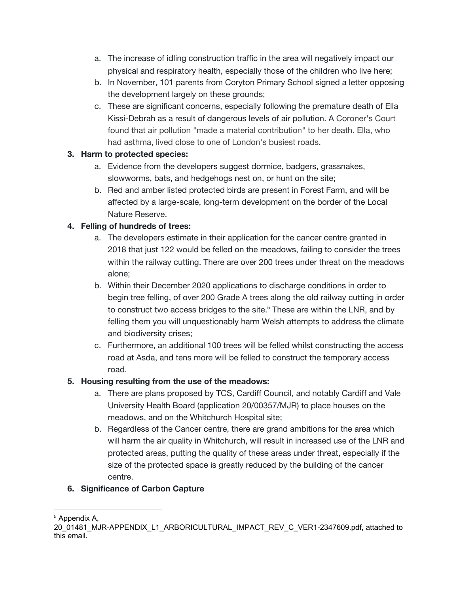- a. The increase of idling construction traffic in the area will negatively impact our physical and respiratory health, especially those of the children who live here;
- b. In November, 101 parents from Coryton Primary School signed a letter opposing the development largely on these grounds;
- c. These are significant concerns, especially following the premature death of Ella Kissi-Debrah as a result of dangerous levels of air pollution. A Coroner's Court found that air pollution "made a material contribution" to her death. Ella, who had asthma, lived close to one of London's busiest roads.

## **3. Harm to protected species:**

- a. Evidence from the developers suggest dormice, badgers, grassnakes, slowworms, bats, and hedgehogs nest on, or hunt on the site;
- b. Red and amber listed protected birds are present in Forest Farm, and will be affected by a large-scale, long-term development on the border of the Local Nature Reserve.

## **4. Felling of hundreds of trees:**

- a. The developers estimate in their application for the cancer centre granted in 2018 that just 122 would be felled on the meadows, failing to consider the trees within the railway cutting. There are over 200 trees under threat on the meadows alone;
- b. Within their December 2020 applications to discharge conditions in order to begin tree felling, of over 200 Grade A trees along the old railway cutting in order to construct two access bridges to the site. <sup>5</sup> These are within the LNR, and by felling them you will unquestionably harm Welsh attempts to address the climate and biodiversity crises;
- c. Furthermore, an additional 100 trees will be felled whilst constructing the access road at Asda, and tens more will be felled to construct the temporary access road.

## **5. Housing resulting from the use of the meadows:**

- a. There are plans proposed by TCS, Cardiff Council, and notably Cardiff and Vale University Health Board (application 20/00357/MJR) to place houses on the meadows, and on the Whitchurch Hospital site;
- b. Regardless of the Cancer centre, there are grand ambitions for the area which will harm the air quality in Whitchurch, will result in increased use of the LNR and protected areas, putting the quality of these areas under threat, especially if the size of the protected space is greatly reduced by the building of the cancer centre.

## **6. Significance of Carbon Capture**

<sup>5</sup> Appendix A,

<sup>20</sup>\_01481\_MJR-APPENDIX\_L1\_ARBORICULTURAL\_IMPACT\_REV\_C\_VER1-2347609.pdf, attached to this email.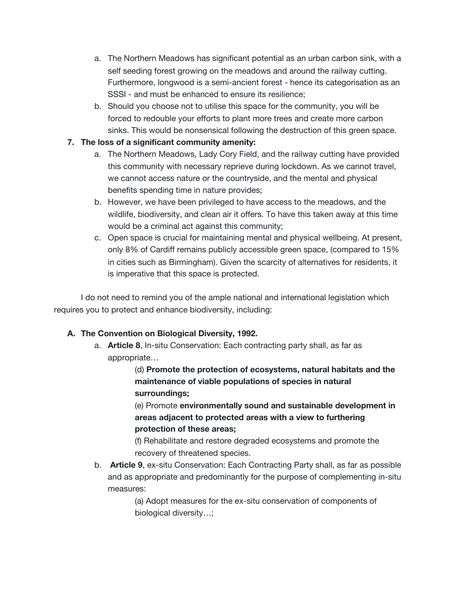- a. The Northern Meadows has significant potential as an urban carbon sink, with a self seeding forest growing on the meadows and around the railway cutting. Furthermore, longwood is a semi-ancient forest - hence its categorisation as an SSSI - and must be enhanced to ensure its resilience;
- b. Should you choose not to utilise this space for the community, you will be forced to redouble your efforts to plant more trees and create more carbon sinks. This would be nonsensical following the destruction of this green space.

## **7. The loss of a significant community amenity:**

- a. The Northern Meadows, Lady Cory Field, and the railway cutting have provided this community with necessary reprieve during lockdown. As we cannot travel, we cannot access nature or the countryside, and the mental and physical benefits spending time in nature provides;
- b. However, we have been privileged to have access to the meadows, and the wildlife, biodiversity, and clean air it offers. To have this taken away at this time would be a criminal act against this community;
- c. Open space is crucial for maintaining mental and physical wellbeing. At present, only 8% of Cardiff remains publicly accessible green space, (compared to 15% in cities such as Birmingham). Given the scarcity of alternatives for residents, it is imperative that this space is protected.

I do not need to remind you of the ample national and international legislation which requires you to protect and enhance biodiversity, including:

## **A. The Convention on Biological Diversity, 1992.**

a. **Article 8**, In-situ Conservation: Each contracting party shall, as far as appropriate…

> (d) **Promote the protection of ecosystems, natural habitats and the maintenance of viable populations of species in natural surroundings;**

> (e) Promote **environmentally sound and sustainable development in areas adjacent to protected areas with a view to furthering protection of these areas;**

(f) Rehabilitate and restore degraded ecosystems and promote the recovery of threatened species.

b. **Article 9**, ex-situ Conservation: Each Contracting Party shall, as far as possible and as appropriate and predominantly for the purpose of complementing in-situ measures:

> (a) Adopt measures for the ex-situ conservation of components of biological diversity…;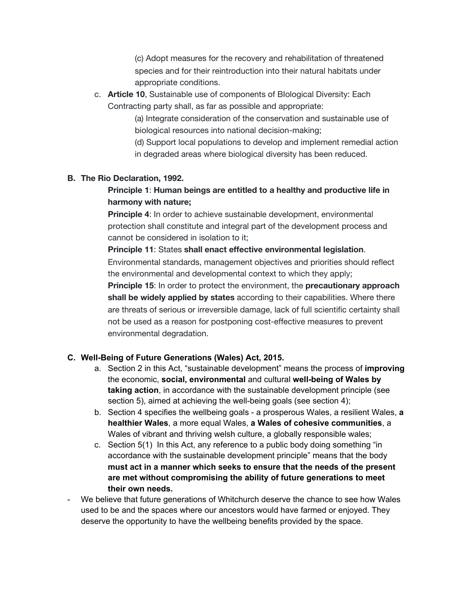(c) Adopt measures for the recovery and rehabilitation of threatened species and for their reintroduction into their natural habitats under appropriate conditions.

c. **Article 10**, Sustainable use of components of BIological Diversity: Each Contracting party shall, as far as possible and appropriate:

> (a) Integrate consideration of the conservation and sustainable use of biological resources into national decision-making;

(d) Support local populations to develop and implement remedial action in degraded areas where biological diversity has been reduced.

### **B. The Rio Declaration, 1992.**

## **Principle 1**: **Human beings are entitled to a healthy and productive life in harmony with nature;**

**Principle 4**: In order to achieve sustainable development, environmental protection shall constitute and integral part of the development process and cannot be considered in isolation to it;

### **Principle 11**: States **shall enact effective environmental legislation**.

Environmental standards, management objectives and priorities should reflect the environmental and developmental context to which they apply;

**Principle 15**: In order to protect the environment, the **precautionary approach shall be widely applied by states** according to their capabilities. Where there are threats of serious or irreversible damage, lack of full scientific certainty shall not be used as a reason for postponing cost-effective measures to prevent environmental degradation.

### **C. Well-Being of Future Generations (Wales) Act, 2015.**

- a. Section 2 in this Act, "sustainable development" means the process of **improving** the economic, **social, environmental** and cultural **well-being of Wales by taking action**, in accordance with the sustainable development principle (see section 5), aimed at achieving the well-being goals (see section 4);
- b. Section 4 specifies the wellbeing goals a prosperous Wales, a resilient Wales, **a healthier Wales**, a more equal Wales, **a Wales of cohesive communities**, a Wales of vibrant and thriving welsh culture, a globally responsible wales;
- c. Section 5(1) In this Act, any reference to a public body doing something "in accordance with the sustainable development principle" means that the body **must act in a manner which seeks to ensure that the needs of the present are met without compromising the ability of future generations to meet their own needs.**
- We believe that future generations of Whitchurch deserve the chance to see how Wales used to be and the spaces where our ancestors would have farmed or enjoyed. They deserve the opportunity to have the wellbeing benefits provided by the space.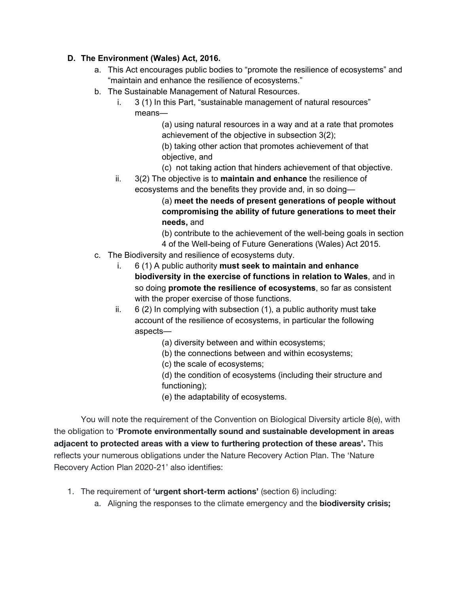## **D. The Environment (Wales) Act, 2016.**

- a. This Act encourages public bodies to "promote the resilience of ecosystems" and "maintain and enhance the resilience of ecosystems."
- b. The Sustainable Management of Natural Resources.
	- i. 3 (1) In this Part, "sustainable management of natural resources" means—

(a) using natural resources in a way and at a rate that promotes achievement of the objective in subsection 3(2);

(b) taking other action that promotes achievement of that objective, and

- (c) not taking action that hinders achievement of that objective.
- ii. 3(2) The objective is to **maintain and enhance** the resilience of ecosystems and the benefits they provide and, in so doing—

(a) **meet the needs of present generations of people without compromising the ability of future generations to meet their needs,** and

(b) contribute to the achievement of the well-being goals in section 4 of the Well-being of Future Generations (Wales) Act 2015.

- c. The Biodiversity and resilience of ecosystems duty.
	- i. 6 (1) A public authority **must seek to maintain and enhance biodiversity in the exercise of functions in relation to Wales**, and in so doing **promote the resilience of ecosystems**, so far as consistent with the proper exercise of those functions.
	- ii. 6 (2) In complying with subsection (1), a public authority must take account of the resilience of ecosystems, in particular the following aspects—
		- (a) diversity between and within ecosystems;
		- (b) the connections between and within ecosystems;
		- (c) the scale of ecosystems;

(d) the condition of ecosystems (including their structure and functioning);

(e) the adaptability of ecosystems.

You will note the requirement of the Convention on Biological Diversity article 8(e), with the obligation to '**Promote environmentally sound and sustainable development in areas adjacent to protected areas with a view to furthering protection of these areas'.** This reflects your numerous obligations under the Nature Recovery Action Plan. The 'Nature Recovery Action Plan 2020-21' also identifies:

- 1. The requirement of **'urgent short-term actions'** (section 6) including:
	- a. Aligning the responses to the climate emergency and the **biodiversity crisis;**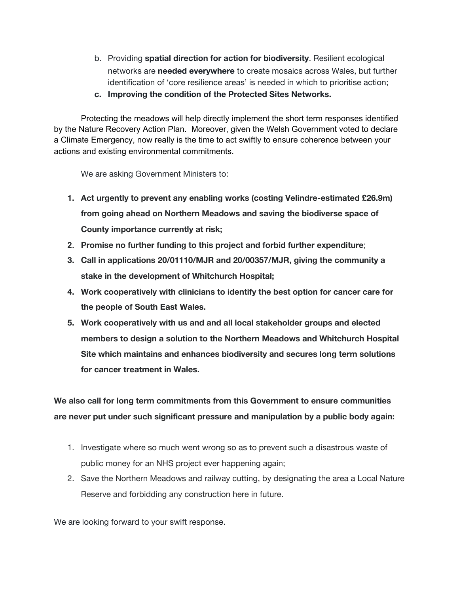- b. Providing **spatial direction for action for biodiversity**. Resilient ecological networks are **needed everywhere** to create mosaics across Wales, but further identification of 'core resilience areas' is needed in which to prioritise action;
- **c. Improving the condition of the Protected Sites Networks.**

Protecting the meadows will help directly implement the short term responses identified by the Nature Recovery Action Plan. Moreover, given the Welsh Government voted to declare a Climate Emergency, now really is the time to act swiftly to ensure coherence between your actions and existing environmental commitments.

We are asking Government Ministers to:

- **1. Act urgently to prevent any enabling works (costing Velindre-estimated £26.9m) from going ahead on Northern Meadows and saving the biodiverse space of County importance currently at risk;**
- **2. Promise no further funding to this project and forbid further expenditure**;
- **3. Call in applications 20/01110/MJR and 20/00357/MJR, giving the community a stake in the development of Whitchurch Hospital;**
- **4. Work cooperatively with clinicians to identify the best option for cancer care for the people of South East Wales.**
- **5. Work cooperatively with us and and all local stakeholder groups and elected members to design a solution to the Northern Meadows and Whitchurch Hospital Site which maintains and enhances biodiversity and secures long term solutions for cancer treatment in Wales.**

**We also call for long term commitments from this Government to ensure communities are never put under such significant pressure and manipulation by a public body again:**

- 1. Investigate where so much went wrong so as to prevent such a disastrous waste of public money for an NHS project ever happening again;
- 2. Save the Northern Meadows and railway cutting, by designating the area a Local Nature Reserve and forbidding any construction here in future.

We are looking forward to your swift response.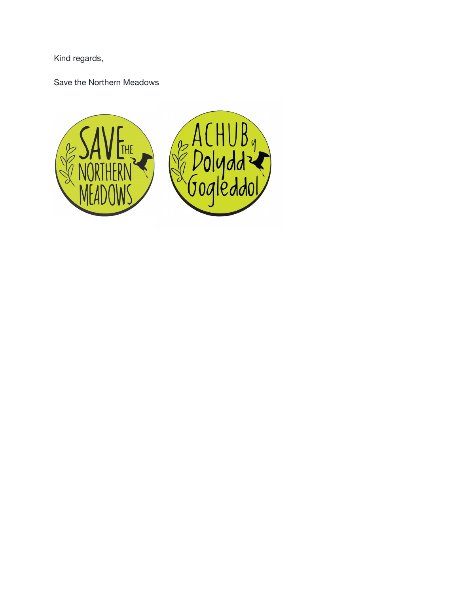Kind regards,

Save the Northern Meadows

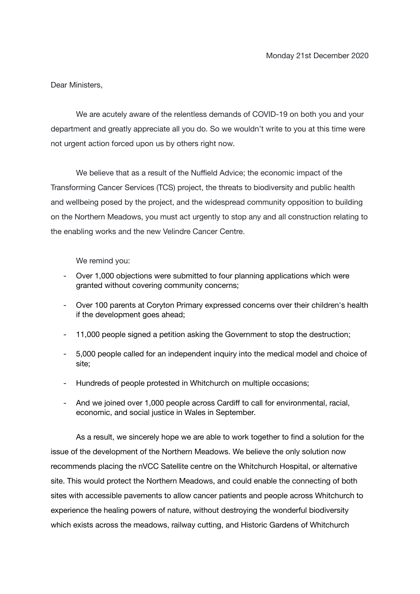Dear Ministers,

We are acutely aware of the relentless demands of COVID-19 on both you and your department and greatly appreciate all you do. So we wouldn't write to you at this time were not urgent action forced upon us by others right now.

We believe that as a result of the Nuffield Advice; the economic impact of the Transforming Cancer Services (TCS) project, the threats to biodiversity and public health and wellbeing posed by the project, and the widespread community opposition to building on the Northern Meadows, you must act urgently to stop any and all construction relating to the enabling works and the new Velindre Cancer Centre.

We remind you:

- Over 1,000 objections were submitted to four planning applications which were granted without covering community concerns;
- Over 100 parents at Coryton Primary expressed concerns over their children's health if the development goes ahead;
- 11,000 people signed a petition asking the Government to stop the destruction;
- 5,000 people called for an independent inquiry into the medical model and choice of site;
- Hundreds of people protested in Whitchurch on multiple occasions;
- And we joined over 1,000 people across Cardiff to call for environmental, racial, economic, and social justice in Wales in September.

As a result, we sincerely hope we are able to work together to find a solution for the issue of the development of the Northern Meadows. We believe the only solution now recommends placing the nVCC Satellite centre on the Whitchurch Hospital, or alternative site. This would protect the Northern Meadows, and could enable the connecting of both sites with accessible pavements to allow cancer patients and people across Whitchurch to experience the healing powers of nature, without destroying the wonderful biodiversity which exists across the meadows, railway cutting, and Historic Gardens of Whitchurch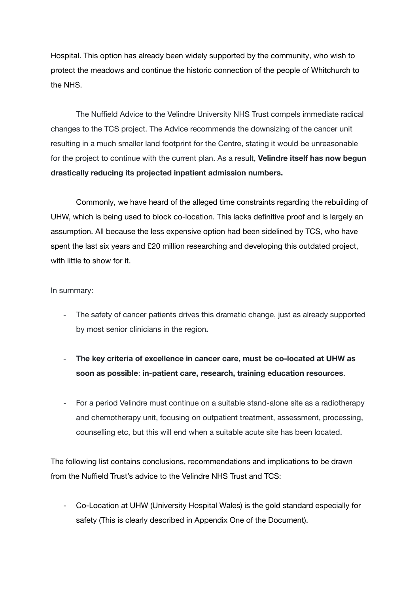Hospital. This option has already been widely supported by the community, who wish to protect the meadows and continue the historic connection of the people of Whitchurch to the NHS.

The Nuffield Advice to the Velindre University NHS Trust compels immediate radical changes to the TCS project. The Advice recommends the downsizing of the cancer unit resulting in a much smaller land footprint for the Centre, stating it would be unreasonable for the project to continue with the current plan. As a result, **Velindre itself has now begun drastically reducing its projected inpatient admission numbers.**

Commonly, we have heard of the alleged time constraints regarding the rebuilding of UHW, which is being used to block co-location. This lacks definitive proof and is largely an assumption. All because the less expensive option had been sidelined by TCS, who have spent the last six years and £20 million researching and developing this outdated project, with little to show for it.

#### In summary:

- The safety of cancer patients drives this dramatic change, just as already supported by most senior clinicians in the region**.**
- **The key criteria of excellence in cancer care, must be co-located at UHW as soon as possible**: **in-patient care, research, training education resources**.
- For a period Velindre must continue on a suitable stand-alone site as a radiotherapy and chemotherapy unit, focusing on outpatient treatment, assessment, processing, counselling etc, but this will end when a suitable acute site has been located.

The following list contains conclusions, recommendations and implications to be drawn from the Nuffield Trust's advice to the Velindre NHS Trust and TCS:

- Co-Location at UHW (University Hospital Wales) is the gold standard especially for safety (This is clearly described in Appendix One of the Document).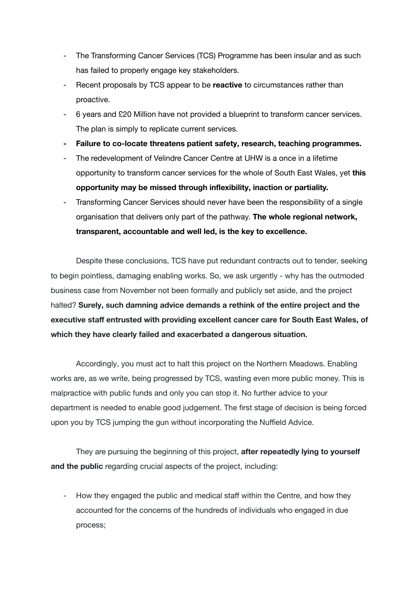- The Transforming Cancer Services (TCS) Programme has been insular and as such has failed to properly engage key stakeholders.
- Recent proposals by TCS appear to be **reactive** to circumstances rather than proactive.
- 6 years and £20 Million have not provided a blueprint to transform cancer services. The plan is simply to replicate current services.
- **- Failure to co-locate threatens patient safety, research, teaching programmes.**
- The redevelopment of Velindre Cancer Centre at UHW is a once in a lifetime opportunity to transform cancer services for the whole of South East Wales, yet **this opportunity may be missed through inflexibility, inaction or partiality.**
- Transforming Cancer Services should never have been the responsibility of a single organisation that delivers only part of the pathway. **The whole regional network, transparent, accountable and well led, is the key to excellence.**

Despite these conclusions, TCS have put redundant contracts out to tender, seeking to begin pointless, damaging enabling works. So, we ask urgently - why has the outmoded business case from November not been formally and publicly set aside, and the project halted? **Surely, such damning advice demands a rethink of the entire project and the executive staff entrusted with providing excellent cancer care for South East Wales, of which they have clearly failed and exacerbated a dangerous situation.**

Accordingly, you must act to halt this project on the Northern Meadows. Enabling works are, as we write, being progressed by TCS, wasting even more public money. This is malpractice with public funds and only you can stop it. No further advice to your department is needed to enable good judgement. The first stage of decision is being forced upon you by TCS jumping the gun without incorporating the Nuffield Advice.

They are pursuing the beginning of this project, **after repeatedly lying to yourself and the public** regarding crucial aspects of the project, including:

- How they engaged the public and medical staff within the Centre, and how they accounted for the concerns of the hundreds of individuals who engaged in due process;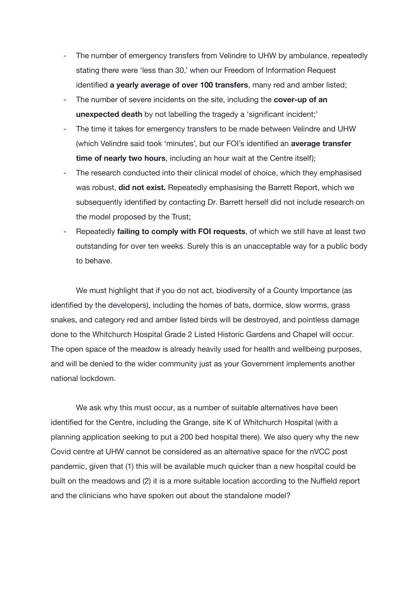- The number of emergency transfers from Velindre to UHW by ambulance, repeatedly stating there were 'less than 30,' when our Freedom of Information Request identified **a yearly average of over 100 transfers**, many red and amber listed;
- The number of severe incidents on the site, including the **cover-up of an unexpected death** by not labelling the tragedy a 'significant incident;'
- The time it takes for emergency transfers to be made between Velindre and UHW (which Velindre said took 'minutes', but our FOI's identified an **average transfer time of nearly two hours**, including an hour wait at the Centre itself);
- The research conducted into their clinical model of choice, which they emphasised was robust, **did not exist.** Repeatedly emphasising the Barrett Report, which we subsequently identified by contacting Dr. Barrett herself did not include research on the model proposed by the Trust;
- Repeatedly **failing to comply with FOI requests**, of which we still have at least two outstanding for over ten weeks. Surely this is an unacceptable way for a public body to behave.

We must highlight that if you do not act, biodiversity of a County Importance (as identified by the developers), including the homes of bats, dormice, slow worms, grass snakes, and category red and amber listed birds will be destroyed, and pointless damage done to the Whitchurch Hospital Grade 2 Listed Historic Gardens and Chapel will occur. The open space of the meadow is already heavily used for health and wellbeing purposes, and will be denied to the wider community just as your Government implements another national lockdown.

We ask why this must occur, as a number of suitable alternatives have been identified for the Centre, including the Grange, site K of Whitchurch Hospital (with a planning application seeking to put a 200 bed hospital there). We also query why the new Covid centre at UHW cannot be considered as an alternative space for the nVCC post pandemic, given that (1) this will be available much quicker than a new hospital could be built on the meadows and (2) it is a more suitable location according to the Nuffield report and the clinicians who have spoken out about the standalone model?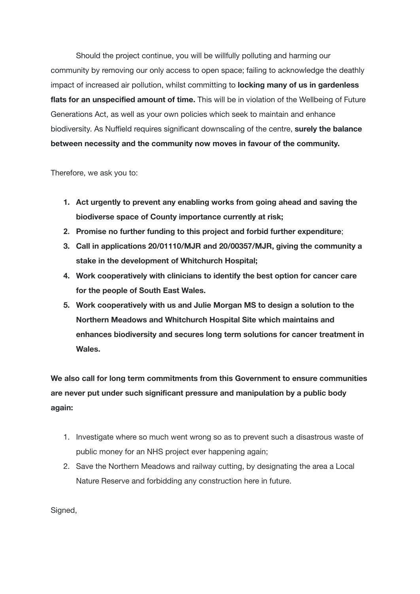Should the project continue, you will be willfully polluting and harming our community by removing our only access to open space; failing to acknowledge the deathly impact of increased air pollution, whilst committing to **locking many of us in gardenless flats for an unspecified amount of time.** This will be in violation of the Wellbeing of Future Generations Act, as well as your own policies which seek to maintain and enhance biodiversity. As Nuffield requires significant downscaling of the centre, **surely the balance between necessity and the community now moves in favour of the community.**

Therefore, we ask you to:

- **1. Act urgently to prevent any enabling works from going ahead and saving the biodiverse space of County importance currently at risk;**
- **2. Promise no further funding to this project and forbid further expenditure**;
- **3. Call in applications 20/01110/MJR and 20/00357/MJR, giving the community a stake in the development of Whitchurch Hospital;**
- **4. Work cooperatively with clinicians to identify the best option for cancer care for the people of South East Wales.**
- **5. Work cooperatively with us and Julie Morgan MS to design a solution to the Northern Meadows and Whitchurch Hospital Site which maintains and enhances biodiversity and secures long term solutions for cancer treatment in Wales.**

**We also call for long term commitments from this Government to ensure communities are never put under such significant pressure and manipulation by a public body again:**

- 1. Investigate where so much went wrong so as to prevent such a disastrous waste of public money for an NHS project ever happening again;
- 2. Save the Northern Meadows and railway cutting, by designating the area a Local Nature Reserve and forbidding any construction here in future.

Signed,